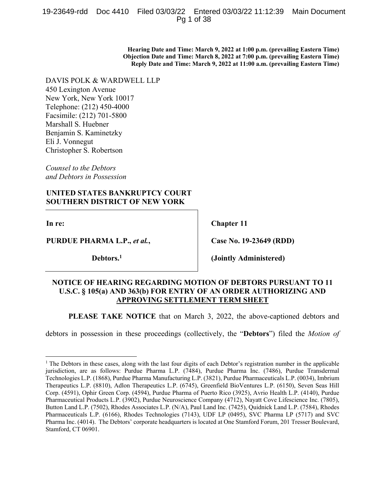# 19-23649-rdd Doc 4410 Filed 03/03/22 Entered 03/03/22 11:12:39 Main Document Pg 1 of 38

**Hearing Date and Time: March 9, 2022 at 1:00 p.m. (prevailing Eastern Time) Objection Date and Time: March 8, 2022 at 7:00 p.m. (prevailing Eastern Time) Reply Date and Time: March 9, 2022 at 11:00 a.m. (prevailing Eastern Time)** 

DAVIS POLK & WARDWELL LLP

450 Lexington Avenue New York, New York 10017 Telephone: (212) 450-4000 Facsimile: (212) 701-5800 Marshall S. Huebner Benjamin S. Kaminetzky Eli J. Vonnegut Christopher S. Robertson

*Counsel to the Debtors and Debtors in Possession* 

# **UNITED STATES BANKRUPTCY COURT SOUTHERN DISTRICT OF NEW YORK**

**In re:** 

 $\overline{a}$ 

**PURDUE PHARMA L.P.,** *et al.***,** 

**Debtors.1**

**Chapter 11** 

**Case No. 19-23649 (RDD)** 

**(Jointly Administered)** 

# **NOTICE OF HEARING REGARDING MOTION OF DEBTORS PURSUANT TO 11 U.S.C. § 105(a) AND 363(b) FOR ENTRY OF AN ORDER AUTHORIZING AND APPROVING SETTLEMENT TERM SHEET**

**PLEASE TAKE NOTICE** that on March 3, 2022, the above-captioned debtors and

debtors in possession in these proceedings (collectively, the "**Debtors**") filed the *Motion of* 

<sup>&</sup>lt;sup>1</sup> The Debtors in these cases, along with the last four digits of each Debtor's registration number in the applicable jurisdiction, are as follows: Purdue Pharma L.P. (7484), Purdue Pharma Inc. (7486), Purdue Transdermal Technologies L.P. (1868), Purdue Pharma Manufacturing L.P. (3821), Purdue Pharmaceuticals L.P. (0034), Imbrium Therapeutics L.P. (8810), Adlon Therapeutics L.P. (6745), Greenfield BioVentures L.P. (6150), Seven Seas Hill Corp. (4591), Ophir Green Corp. (4594), Purdue Pharma of Puerto Rico (3925), Avrio Health L.P. (4140), Purdue Pharmaceutical Products L.P. (3902), Purdue Neuroscience Company (4712), Nayatt Cove Lifescience Inc. (7805), Button Land L.P. (7502), Rhodes Associates L.P. (N/A), Paul Land Inc. (7425), Quidnick Land L.P. (7584), Rhodes Pharmaceuticals L.P. (6166), Rhodes Technologies (7143), UDF LP (0495), SVC Pharma LP (5717) and SVC Pharma Inc. (4014). The Debtors' corporate headquarters is located at One Stamford Forum, 201 Tresser Boulevard, Stamford, CT 06901.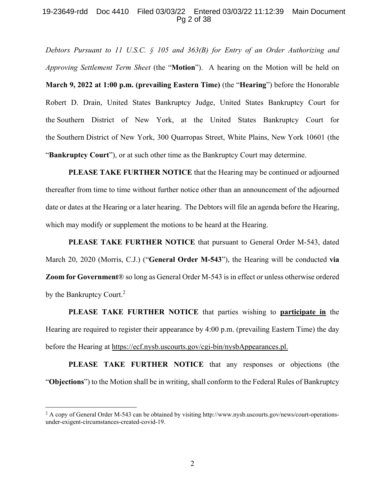# 19-23649-rdd Doc 4410 Filed 03/03/22 Entered 03/03/22 11:12:39 Main Document Pg 2 of 38

*Debtors Pursuant to 11 U.S.C. § 105 and 363(B) for Entry of an Order Authorizing and Approving Settlement Term Sheet* (the "**Motion**"). A hearing on the Motion will be held on **March 9, 2022 at 1:00 p.m. (prevailing Eastern Time)** (the "**Hearing**") before the Honorable Robert D. Drain, United States Bankruptcy Judge, United States Bankruptcy Court for the Southern District of New York, at the United States Bankruptcy Court for the Southern District of New York, 300 Quarropas Street, White Plains, New York 10601 (the "**Bankruptcy Court**"), or at such other time as the Bankruptcy Court may determine.

**PLEASE TAKE FURTHER NOTICE** that the Hearing may be continued or adjourned thereafter from time to time without further notice other than an announcement of the adjourned date or dates at the Hearing or a later hearing. The Debtors will file an agenda before the Hearing, which may modify or supplement the motions to be heard at the Hearing.

**PLEASE TAKE FURTHER NOTICE** that pursuant to General Order M-543, dated March 20, 2020 (Morris, C.J.) ("**General Order M-543**"), the Hearing will be conducted **via Zoom for Government**® so long as General Order M-543 is in effect or unless otherwise ordered by the Bankruptcy Court.<sup>2</sup>

**PLEASE TAKE FURTHER NOTICE** that parties wishing to **participate in** the Hearing are required to register their appearance by 4:00 p.m. (prevailing Eastern Time) the day before the Hearing at https://ecf.nysb.uscourts.gov/cgi-bin/nysbAppearances.pl.

**PLEASE TAKE FURTHER NOTICE** that any responses or objections (the "**Objections**") to the Motion shall be in writing, shall conform to the Federal Rules of Bankruptcy

<u>.</u>

 $2$  A copy of General Order M-543 can be obtained by visiting http://www.nysb.uscourts.gov/news/court-operationsunder-exigent-circumstances-created-covid-19.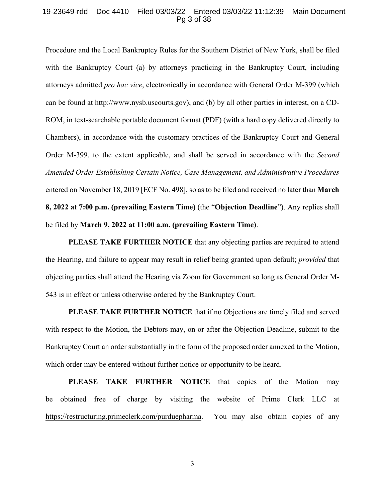## 19-23649-rdd Doc 4410 Filed 03/03/22 Entered 03/03/22 11:12:39 Main Document Pg 3 of 38

Procedure and the Local Bankruptcy Rules for the Southern District of New York, shall be filed with the Bankruptcy Court (a) by attorneys practicing in the Bankruptcy Court, including attorneys admitted *pro hac vice*, electronically in accordance with General Order M-399 (which can be found at http://www.nysb.uscourts.gov), and (b) by all other parties in interest, on a CD-ROM, in text-searchable portable document format (PDF) (with a hard copy delivered directly to Chambers), in accordance with the customary practices of the Bankruptcy Court and General Order M-399, to the extent applicable, and shall be served in accordance with the *Second Amended Order Establishing Certain Notice, Case Management, and Administrative Procedures*  entered on November 18, 2019 [ECF No. 498], so as to be filed and received no later than **March 8, 2022 at 7:00 p.m. (prevailing Eastern Time)** (the "**Objection Deadline**"). Any replies shall be filed by **March 9, 2022 at 11:00 a.m. (prevailing Eastern Time)**.

**PLEASE TAKE FURTHER NOTICE** that any objecting parties are required to attend the Hearing, and failure to appear may result in relief being granted upon default; *provided* that objecting parties shall attend the Hearing via Zoom for Government so long as General Order M-543 is in effect or unless otherwise ordered by the Bankruptcy Court.

**PLEASE TAKE FURTHER NOTICE** that if no Objections are timely filed and served with respect to the Motion, the Debtors may, on or after the Objection Deadline, submit to the Bankruptcy Court an order substantially in the form of the proposed order annexed to the Motion, which order may be entered without further notice or opportunity to be heard.

**PLEASE TAKE FURTHER NOTICE** that copies of the Motion may be obtained free of charge by visiting the website of Prime Clerk LLC at https://restructuring.primeclerk.com/purduepharma. You may also obtain copies of any

3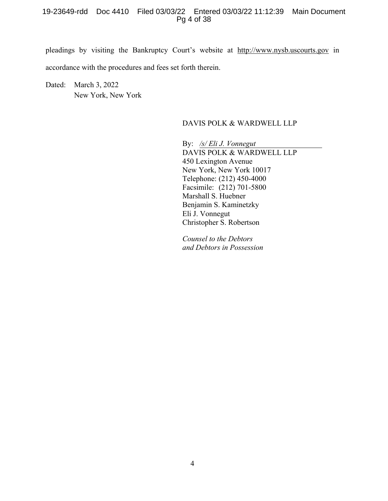# 19-23649-rdd Doc 4410 Filed 03/03/22 Entered 03/03/22 11:12:39 Main Document Pg 4 of 38

pleadings by visiting the Bankruptcy Court's website at http://www.nysb.uscourts.gov in accordance with the procedures and fees set forth therein.

Dated: March 3, 2022 New York, New York

# DAVIS POLK & WARDWELL LLP

By: */s/ Eli J. Vonnegut*  DAVIS POLK & WARDWELL LLP 450 Lexington Avenue New York, New York 10017 Telephone: (212) 450-4000 Facsimile: (212) 701-5800 Marshall S. Huebner Benjamin S. Kaminetzky Eli J. Vonnegut Christopher S. Robertson

*Counsel to the Debtors and Debtors in Possession*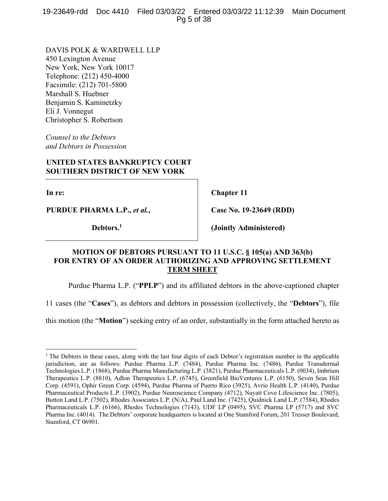19-23649-rdd Doc 4410 Filed 03/03/22 Entered 03/03/22 11:12:39 Main Document Pg 5 of 38

DAVIS POLK & WARDWELL LLP 450 Lexington Avenue New York, New York 10017 Telephone: (212) 450-4000 Facsimile: (212) 701-5800 Marshall S. Huebner Benjamin S. Kaminetzky Eli J. Vonnegut Christopher S. Robertson

*Counsel to the Debtors and Debtors in Possession* 

# **UNITED STATES BANKRUPTCY COURT SOUTHERN DISTRICT OF NEW YORK**

**In re:** 

1

**PURDUE PHARMA L.P.,** *et al.***,** 

**Debtors.1**

**Chapter 11** 

**Case No. 19-23649 (RDD)** 

**(Jointly Administered)** 

# **MOTION OF DEBTORS PURSUANT TO 11 U.S.C. § 105(a) AND 363(b) FOR ENTRY OF AN ORDER AUTHORIZING AND APPROVING SETTLEMENT TERM SHEET**

Purdue Pharma L.P. ("**PPLP**") and its affiliated debtors in the above-captioned chapter

11 cases (the "**Cases**"), as debtors and debtors in possession (collectively, the "**Debtors**"), file

this motion (the "**Motion**") seeking entry of an order, substantially in the form attached hereto as

<sup>&</sup>lt;sup>1</sup> The Debtors in these cases, along with the last four digits of each Debtor's registration number in the applicable jurisdiction, are as follows: Purdue Pharma L.P. (7484), Purdue Pharma Inc. (7486), Purdue Transdermal Technologies L.P. (1868), Purdue Pharma Manufacturing L.P. (3821), Purdue Pharmaceuticals L.P. (0034), Imbrium Therapeutics L.P. (8810), Adlon Therapeutics L.P. (6745), Greenfield BioVentures L.P. (6150), Seven Seas Hill Corp. (4591), Ophir Green Corp. (4594), Purdue Pharma of Puerto Rico (3925), Avrio Health L.P. (4140), Purdue Pharmaceutical Products L.P. (3902), Purdue Neuroscience Company (4712), Nayatt Cove Lifescience Inc. (7805), Button Land L.P. (7502), Rhodes Associates L.P. (N/A), Paul Land Inc. (7425), Quidnick Land L.P. (7584), Rhodes Pharmaceuticals L.P. (6166), Rhodes Technologies (7143), UDF LP (0495), SVC Pharma LP (5717) and SVC Pharma Inc. (4014). The Debtors' corporate headquarters is located at One Stamford Forum, 201 Tresser Boulevard, Stamford, CT 06901.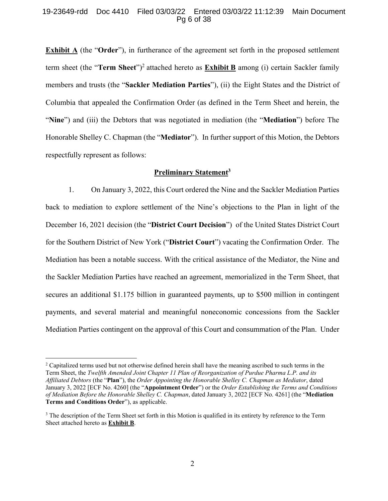# 19-23649-rdd Doc 4410 Filed 03/03/22 Entered 03/03/22 11:12:39 Main Document Pg 6 of 38

**Exhibit A** (the "**Order**"), in furtherance of the agreement set forth in the proposed settlement term sheet (the "Term Sheet")<sup>2</sup> attached hereto as **Exhibit B** among (i) certain Sackler family members and trusts (the "**Sackler Mediation Parties**"), (ii) the Eight States and the District of Columbia that appealed the Confirmation Order (as defined in the Term Sheet and herein, the "**Nine**") and (iii) the Debtors that was negotiated in mediation (the "**Mediation**") before The Honorable Shelley C. Chapman (the "**Mediator**"). In further support of this Motion, the Debtors respectfully represent as follows:

# **Preliminary Statement3**

1. On January 3, 2022, this Court ordered the Nine and the Sackler Mediation Parties back to mediation to explore settlement of the Nine's objections to the Plan in light of the December 16, 2021 decision (the "**District Court Decision**") of the United States District Court for the Southern District of New York ("**District Court**") vacating the Confirmation Order. The Mediation has been a notable success. With the critical assistance of the Mediator, the Nine and the Sackler Mediation Parties have reached an agreement, memorialized in the Term Sheet, that secures an additional \$1.175 billion in guaranteed payments, up to \$500 million in contingent payments, and several material and meaningful noneconomic concessions from the Sackler Mediation Parties contingent on the approval of this Court and consummation of the Plan. Under

 $\overline{a}$ 

<sup>&</sup>lt;sup>2</sup> Capitalized terms used but not otherwise defined herein shall have the meaning ascribed to such terms in the Term Sheet, the *Twelfth Amended Joint Chapter 11 Plan of Reorganization of Purdue Pharma L.P. and its Affiliated Debtors* (the "**Plan**"), the *Order Appointing the Honorable Shelley C. Chapman as Mediator*, dated January 3, 2022 [ECF No. 4260] (the "**Appointment Order**") or the *Order Establishing the Terms and Conditions of Mediation Before the Honorable Shelley C. Chapman*, dated January 3, 2022 [ECF No. 4261] (the "**Mediation Terms and Conditions Order**"), as applicable.

<sup>&</sup>lt;sup>3</sup> The description of the Term Sheet set forth in this Motion is qualified in its entirety by reference to the Term Sheet attached hereto as **Exhibit B**.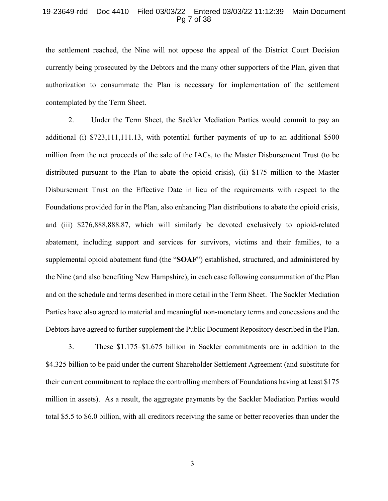# 19-23649-rdd Doc 4410 Filed 03/03/22 Entered 03/03/22 11:12:39 Main Document Pg 7 of 38

the settlement reached, the Nine will not oppose the appeal of the District Court Decision currently being prosecuted by the Debtors and the many other supporters of the Plan, given that authorization to consummate the Plan is necessary for implementation of the settlement contemplated by the Term Sheet.

2. Under the Term Sheet, the Sackler Mediation Parties would commit to pay an additional (i) \$723,111,111.13, with potential further payments of up to an additional \$500 million from the net proceeds of the sale of the IACs, to the Master Disbursement Trust (to be distributed pursuant to the Plan to abate the opioid crisis), (ii) \$175 million to the Master Disbursement Trust on the Effective Date in lieu of the requirements with respect to the Foundations provided for in the Plan, also enhancing Plan distributions to abate the opioid crisis, and (iii) \$276,888,888.87, which will similarly be devoted exclusively to opioid-related abatement, including support and services for survivors, victims and their families, to a supplemental opioid abatement fund (the "**SOAF**") established, structured, and administered by the Nine (and also benefiting New Hampshire), in each case following consummation of the Plan and on the schedule and terms described in more detail in the Term Sheet. The Sackler Mediation Parties have also agreed to material and meaningful non-monetary terms and concessions and the Debtors have agreed to further supplement the Public Document Repository described in the Plan.

3. These \$1.175–\$1.675 billion in Sackler commitments are in addition to the \$4.325 billion to be paid under the current Shareholder Settlement Agreement (and substitute for their current commitment to replace the controlling members of Foundations having at least \$175 million in assets). As a result, the aggregate payments by the Sackler Mediation Parties would total \$5.5 to \$6.0 billion, with all creditors receiving the same or better recoveries than under the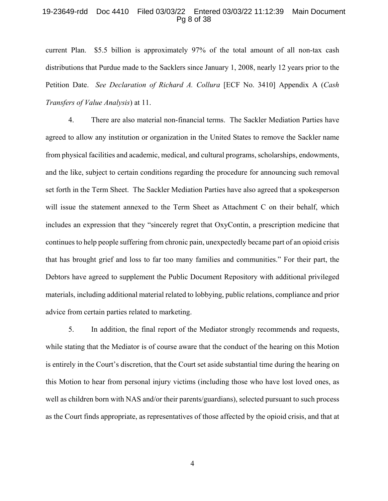#### 19-23649-rdd Doc 4410 Filed 03/03/22 Entered 03/03/22 11:12:39 Main Document Pg 8 of 38

current Plan. \$5.5 billion is approximately 97% of the total amount of all non-tax cash distributions that Purdue made to the Sacklers since January 1, 2008, nearly 12 years prior to the Petition Date. *See Declaration of Richard A. Collura* [ECF No. 3410] Appendix A (*Cash Transfers of Value Analysis*) at 11.

4. There are also material non-financial terms. The Sackler Mediation Parties have agreed to allow any institution or organization in the United States to remove the Sackler name from physical facilities and academic, medical, and cultural programs, scholarships, endowments, and the like, subject to certain conditions regarding the procedure for announcing such removal set forth in the Term Sheet. The Sackler Mediation Parties have also agreed that a spokesperson will issue the statement annexed to the Term Sheet as Attachment C on their behalf, which includes an expression that they "sincerely regret that OxyContin, a prescription medicine that continues to help people suffering from chronic pain, unexpectedly became part of an opioid crisis that has brought grief and loss to far too many families and communities." For their part, the Debtors have agreed to supplement the Public Document Repository with additional privileged materials, including additional material related to lobbying, public relations, compliance and prior advice from certain parties related to marketing.

5. In addition, the final report of the Mediator strongly recommends and requests, while stating that the Mediator is of course aware that the conduct of the hearing on this Motion is entirely in the Court's discretion, that the Court set aside substantial time during the hearing on this Motion to hear from personal injury victims (including those who have lost loved ones, as well as children born with NAS and/or their parents/guardians), selected pursuant to such process as the Court finds appropriate, as representatives of those affected by the opioid crisis, and that at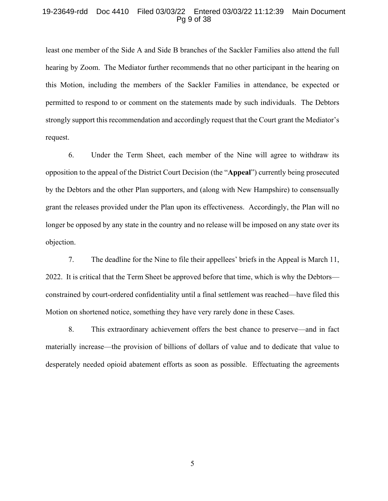#### 19-23649-rdd Doc 4410 Filed 03/03/22 Entered 03/03/22 11:12:39 Main Document Pg 9 of 38

least one member of the Side A and Side B branches of the Sackler Families also attend the full hearing by Zoom. The Mediator further recommends that no other participant in the hearing on this Motion, including the members of the Sackler Families in attendance, be expected or permitted to respond to or comment on the statements made by such individuals. The Debtors strongly support this recommendation and accordingly request that the Court grant the Mediator's request.

6. Under the Term Sheet, each member of the Nine will agree to withdraw its opposition to the appeal of the District Court Decision (the "**Appeal**") currently being prosecuted by the Debtors and the other Plan supporters, and (along with New Hampshire) to consensually grant the releases provided under the Plan upon its effectiveness. Accordingly, the Plan will no longer be opposed by any state in the country and no release will be imposed on any state over its objection.

7. The deadline for the Nine to file their appellees' briefs in the Appeal is March 11, 2022. It is critical that the Term Sheet be approved before that time, which is why the Debtors constrained by court-ordered confidentiality until a final settlement was reached—have filed this Motion on shortened notice, something they have very rarely done in these Cases.

8. This extraordinary achievement offers the best chance to preserve—and in fact materially increase—the provision of billions of dollars of value and to dedicate that value to desperately needed opioid abatement efforts as soon as possible. Effectuating the agreements

5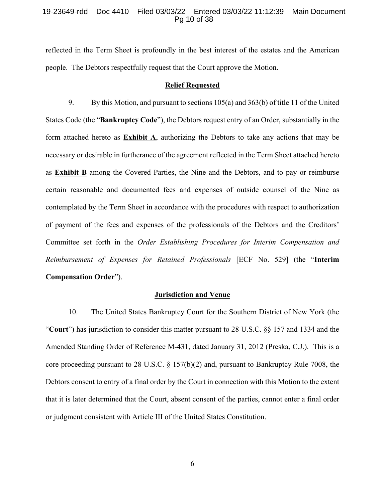# 19-23649-rdd Doc 4410 Filed 03/03/22 Entered 03/03/22 11:12:39 Main Document Pg 10 of 38

reflected in the Term Sheet is profoundly in the best interest of the estates and the American people. The Debtors respectfully request that the Court approve the Motion.

#### **Relief Requested**

9. By this Motion, and pursuant to sections 105(a) and 363(b) of title 11 of the United States Code (the "**Bankruptcy Code**"), the Debtors request entry of an Order, substantially in the form attached hereto as **Exhibit A**, authorizing the Debtors to take any actions that may be necessary or desirable in furtherance of the agreement reflected in the Term Sheet attached hereto as **Exhibit B** among the Covered Parties, the Nine and the Debtors, and to pay or reimburse certain reasonable and documented fees and expenses of outside counsel of the Nine as contemplated by the Term Sheet in accordance with the procedures with respect to authorization of payment of the fees and expenses of the professionals of the Debtors and the Creditors' Committee set forth in the *Order Establishing Procedures for Interim Compensation and Reimbursement of Expenses for Retained Professionals* [ECF No. 529] (the "**Interim Compensation Order**").

### **Jurisdiction and Venue**

10. The United States Bankruptcy Court for the Southern District of New York (the "**Court**") has jurisdiction to consider this matter pursuant to 28 U.S.C. §§ 157 and 1334 and the Amended Standing Order of Reference M-431, dated January 31, 2012 (Preska, C.J.). This is a core proceeding pursuant to 28 U.S.C. § 157(b)(2) and, pursuant to Bankruptcy Rule 7008, the Debtors consent to entry of a final order by the Court in connection with this Motion to the extent that it is later determined that the Court, absent consent of the parties, cannot enter a final order or judgment consistent with Article III of the United States Constitution.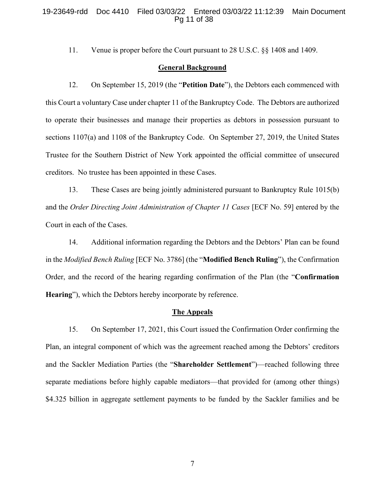# 19-23649-rdd Doc 4410 Filed 03/03/22 Entered 03/03/22 11:12:39 Main Document Pg 11 of 38

11. Venue is proper before the Court pursuant to 28 U.S.C. §§ 1408 and 1409.

# **General Background**

12. On September 15, 2019 (the "**Petition Date**"), the Debtors each commenced with this Court a voluntary Case under chapter 11 of the Bankruptcy Code. The Debtors are authorized to operate their businesses and manage their properties as debtors in possession pursuant to sections 1107(a) and 1108 of the Bankruptcy Code. On September 27, 2019, the United States Trustee for the Southern District of New York appointed the official committee of unsecured creditors. No trustee has been appointed in these Cases.

13. These Cases are being jointly administered pursuant to Bankruptcy Rule 1015(b) and the *Order Directing Joint Administration of Chapter 11 Cases* [ECF No. 59] entered by the Court in each of the Cases.

14. Additional information regarding the Debtors and the Debtors' Plan can be found in the *Modified Bench Ruling* [ECF No. 3786] (the "**Modified Bench Ruling**"), the Confirmation Order, and the record of the hearing regarding confirmation of the Plan (the "**Confirmation Hearing**"), which the Debtors hereby incorporate by reference.

#### **The Appeals**

15. On September 17, 2021, this Court issued the Confirmation Order confirming the Plan, an integral component of which was the agreement reached among the Debtors' creditors and the Sackler Mediation Parties (the "**Shareholder Settlement**")—reached following three separate mediations before highly capable mediators—that provided for (among other things) \$4.325 billion in aggregate settlement payments to be funded by the Sackler families and be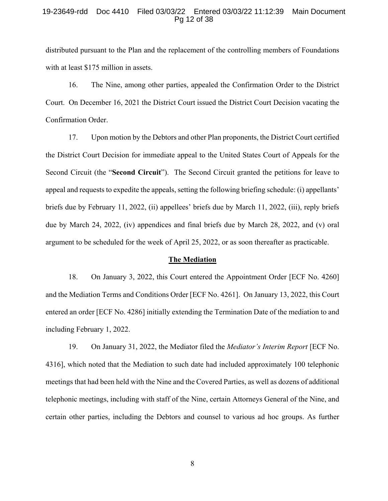# 19-23649-rdd Doc 4410 Filed 03/03/22 Entered 03/03/22 11:12:39 Main Document Pg 12 of 38

distributed pursuant to the Plan and the replacement of the controlling members of Foundations with at least \$175 million in assets.

16. The Nine, among other parties, appealed the Confirmation Order to the District Court. On December 16, 2021 the District Court issued the District Court Decision vacating the Confirmation Order.

17. Upon motion by the Debtors and other Plan proponents, the District Court certified the District Court Decision for immediate appeal to the United States Court of Appeals for the Second Circuit (the "**Second Circuit**"). The Second Circuit granted the petitions for leave to appeal and requests to expedite the appeals, setting the following briefing schedule: (i) appellants' briefs due by February 11, 2022, (ii) appellees' briefs due by March 11, 2022, (iii), reply briefs due by March 24, 2022, (iv) appendices and final briefs due by March 28, 2022, and (v) oral argument to be scheduled for the week of April 25, 2022, or as soon thereafter as practicable.

#### **The Mediation**

18. On January 3, 2022, this Court entered the Appointment Order [ECF No. 4260] and the Mediation Terms and Conditions Order [ECF No. 4261]. On January 13, 2022, this Court entered an order [ECF No. 4286] initially extending the Termination Date of the mediation to and including February 1, 2022.

19. On January 31, 2022, the Mediator filed the *Mediator's Interim Report* [ECF No. 4316], which noted that the Mediation to such date had included approximately 100 telephonic meetings that had been held with the Nine and the Covered Parties, as well as dozens of additional telephonic meetings, including with staff of the Nine, certain Attorneys General of the Nine, and certain other parties, including the Debtors and counsel to various ad hoc groups. As further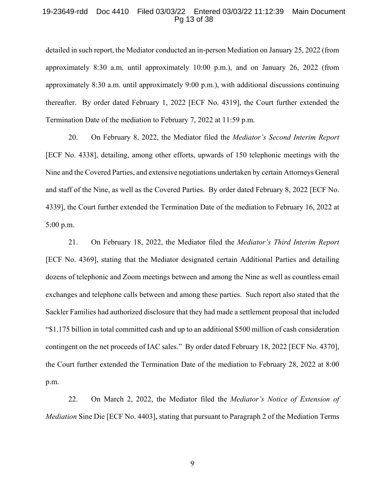# 19-23649-rdd Doc 4410 Filed 03/03/22 Entered 03/03/22 11:12:39 Main Document Pg 13 of 38

detailed in such report, the Mediator conducted an in-person Mediation on January 25, 2022 (from approximately 8:30 a.m. until approximately 10:00 p.m.), and on January 26, 2022 (from approximately 8:30 a.m. until approximately 9:00 p.m.), with additional discussions continuing thereafter. By order dated February 1, 2022 [ECF No. 4319], the Court further extended the Termination Date of the mediation to February 7, 2022 at 11:59 p.m.

20. On February 8, 2022, the Mediator filed the *Mediator's Second Interim Report* [ECF No. 4338], detailing, among other efforts, upwards of 150 telephonic meetings with the Nine and the Covered Parties, and extensive negotiations undertaken by certain Attorneys General and staff of the Nine, as well as the Covered Parties. By order dated February 8, 2022 [ECF No. 4339], the Court further extended the Termination Date of the mediation to February 16, 2022 at 5:00 p.m.

21. On February 18, 2022, the Mediator filed the *Mediator's Third Interim Report* [ECF No. 4369], stating that the Mediator designated certain Additional Parties and detailing dozens of telephonic and Zoom meetings between and among the Nine as well as countless email exchanges and telephone calls between and among these parties. Such report also stated that the Sackler Families had authorized disclosure that they had made a settlement proposal that included "\$1.175 billion in total committed cash and up to an additional \$500 million of cash consideration contingent on the net proceeds of IAC sales." By order dated February 18, 2022 [ECF No. 4370], the Court further extended the Termination Date of the mediation to February 28, 2022 at 8:00 p.m.

22. On March 2, 2022, the Mediator filed the *Mediator's Notice of Extension of Mediation* Sine Die [ECF No. 4403], stating that pursuant to Paragraph 2 of the Mediation Terms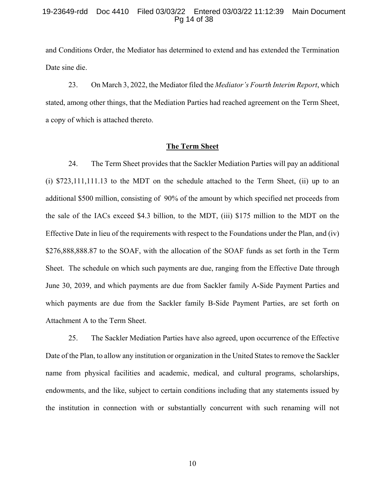# 19-23649-rdd Doc 4410 Filed 03/03/22 Entered 03/03/22 11:12:39 Main Document Pg 14 of 38

and Conditions Order, the Mediator has determined to extend and has extended the Termination Date sine die.

23. On March 3, 2022, the Mediator filed the *Mediator's Fourth Interim Report*, which stated, among other things, that the Mediation Parties had reached agreement on the Term Sheet, a copy of which is attached thereto.

### **The Term Sheet**

24. The Term Sheet provides that the Sackler Mediation Parties will pay an additional (i) \$723,111,111.13 to the MDT on the schedule attached to the Term Sheet, (ii) up to an additional \$500 million, consisting of 90% of the amount by which specified net proceeds from the sale of the IACs exceed \$4.3 billion, to the MDT, (iii) \$175 million to the MDT on the Effective Date in lieu of the requirements with respect to the Foundations under the Plan, and (iv) \$276,888,888.87 to the SOAF, with the allocation of the SOAF funds as set forth in the Term Sheet. The schedule on which such payments are due, ranging from the Effective Date through June 30, 2039, and which payments are due from Sackler family A-Side Payment Parties and which payments are due from the Sackler family B-Side Payment Parties, are set forth on Attachment A to the Term Sheet.

25. The Sackler Mediation Parties have also agreed, upon occurrence of the Effective Date of the Plan, to allow any institution or organization in the United States to remove the Sackler name from physical facilities and academic, medical, and cultural programs, scholarships, endowments, and the like, subject to certain conditions including that any statements issued by the institution in connection with or substantially concurrent with such renaming will not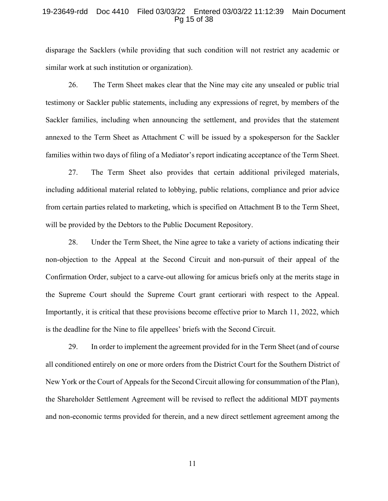# 19-23649-rdd Doc 4410 Filed 03/03/22 Entered 03/03/22 11:12:39 Main Document Pg 15 of 38

disparage the Sacklers (while providing that such condition will not restrict any academic or similar work at such institution or organization).

26. The Term Sheet makes clear that the Nine may cite any unsealed or public trial testimony or Sackler public statements, including any expressions of regret, by members of the Sackler families, including when announcing the settlement, and provides that the statement annexed to the Term Sheet as Attachment C will be issued by a spokesperson for the Sackler families within two days of filing of a Mediator's report indicating acceptance of the Term Sheet.

27. The Term Sheet also provides that certain additional privileged materials, including additional material related to lobbying, public relations, compliance and prior advice from certain parties related to marketing, which is specified on Attachment B to the Term Sheet, will be provided by the Debtors to the Public Document Repository.

28. Under the Term Sheet, the Nine agree to take a variety of actions indicating their non-objection to the Appeal at the Second Circuit and non-pursuit of their appeal of the Confirmation Order, subject to a carve-out allowing for amicus briefs only at the merits stage in the Supreme Court should the Supreme Court grant certiorari with respect to the Appeal. Importantly, it is critical that these provisions become effective prior to March 11, 2022, which is the deadline for the Nine to file appellees' briefs with the Second Circuit.

29. In order to implement the agreement provided for in the Term Sheet (and of course all conditioned entirely on one or more orders from the District Court for the Southern District of New York or the Court of Appeals for the Second Circuit allowing for consummation of the Plan), the Shareholder Settlement Agreement will be revised to reflect the additional MDT payments and non-economic terms provided for therein, and a new direct settlement agreement among the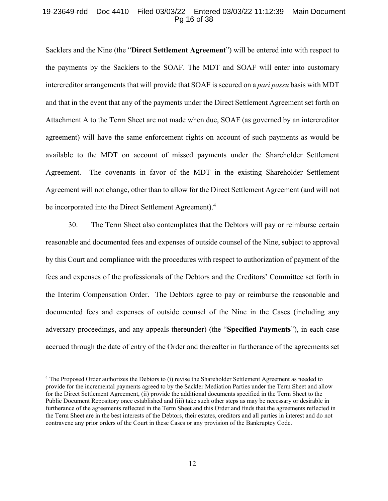# 19-23649-rdd Doc 4410 Filed 03/03/22 Entered 03/03/22 11:12:39 Main Document Pg 16 of 38

Sacklers and the Nine (the "**Direct Settlement Agreement**") will be entered into with respect to the payments by the Sacklers to the SOAF. The MDT and SOAF will enter into customary intercreditor arrangements that will provide that SOAF is secured on a *pari passu* basis with MDT and that in the event that any of the payments under the Direct Settlement Agreement set forth on Attachment A to the Term Sheet are not made when due, SOAF (as governed by an intercreditor agreement) will have the same enforcement rights on account of such payments as would be available to the MDT on account of missed payments under the Shareholder Settlement Agreement. The covenants in favor of the MDT in the existing Shareholder Settlement Agreement will not change, other than to allow for the Direct Settlement Agreement (and will not be incorporated into the Direct Settlement Agreement).<sup>4</sup>

30. The Term Sheet also contemplates that the Debtors will pay or reimburse certain reasonable and documented fees and expenses of outside counsel of the Nine, subject to approval by this Court and compliance with the procedures with respect to authorization of payment of the fees and expenses of the professionals of the Debtors and the Creditors' Committee set forth in the Interim Compensation Order. The Debtors agree to pay or reimburse the reasonable and documented fees and expenses of outside counsel of the Nine in the Cases (including any adversary proceedings, and any appeals thereunder) (the "**Specified Payments**"), in each case accrued through the date of entry of the Order and thereafter in furtherance of the agreements set

1

<sup>4</sup> The Proposed Order authorizes the Debtors to (i) revise the Shareholder Settlement Agreement as needed to provide for the incremental payments agreed to by the Sackler Mediation Parties under the Term Sheet and allow for the Direct Settlement Agreement, (ii) provide the additional documents specified in the Term Sheet to the Public Document Repository once established and (iii) take such other steps as may be necessary or desirable in furtherance of the agreements reflected in the Term Sheet and this Order and finds that the agreements reflected in the Term Sheet are in the best interests of the Debtors, their estates, creditors and all parties in interest and do not contravene any prior orders of the Court in these Cases or any provision of the Bankruptcy Code.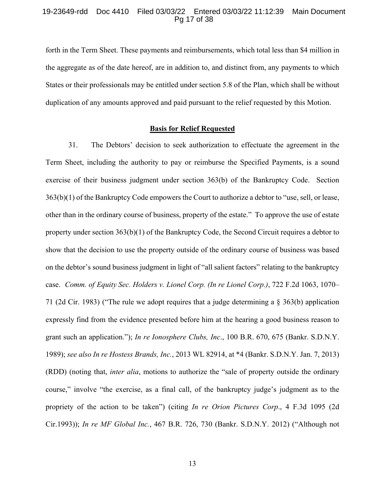# 19-23649-rdd Doc 4410 Filed 03/03/22 Entered 03/03/22 11:12:39 Main Document Pg 17 of 38

forth in the Term Sheet. These payments and reimbursements, which total less than \$4 million in the aggregate as of the date hereof, are in addition to, and distinct from, any payments to which States or their professionals may be entitled under section 5.8 of the Plan, which shall be without duplication of any amounts approved and paid pursuant to the relief requested by this Motion.

# **Basis for Relief Requested**

31. The Debtors' decision to seek authorization to effectuate the agreement in the Term Sheet, including the authority to pay or reimburse the Specified Payments, is a sound exercise of their business judgment under section 363(b) of the Bankruptcy Code. Section 363(b)(1) of the Bankruptcy Code empowers the Court to authorize a debtor to "use, sell, or lease, other than in the ordinary course of business, property of the estate." To approve the use of estate property under section 363(b)(1) of the Bankruptcy Code, the Second Circuit requires a debtor to show that the decision to use the property outside of the ordinary course of business was based on the debtor's sound business judgment in light of "all salient factors" relating to the bankruptcy case. *Comm. of Equity Sec. Holders v. Lionel Corp. (In re Lionel Corp.)*, 722 F.2d 1063, 1070– 71 (2d Cir. 1983) ("The rule we adopt requires that a judge determining a § 363(b) application expressly find from the evidence presented before him at the hearing a good business reason to grant such an application."); *In re Ionosphere Clubs, Inc*., 100 B.R. 670, 675 (Bankr. S.D.N.Y. 1989); *see also In re Hostess Brands, Inc.*, 2013 WL 82914, at \*4 (Bankr. S.D.N.Y. Jan. 7, 2013) (RDD) (noting that, *inter alia*, motions to authorize the "sale of property outside the ordinary course," involve "the exercise, as a final call, of the bankruptcy judge's judgment as to the propriety of the action to be taken") (citing *In re Orion Pictures Corp*., 4 F.3d 1095 (2d Cir.1993)); *In re MF Global Inc.*, 467 B.R. 726, 730 (Bankr. S.D.N.Y. 2012) ("Although not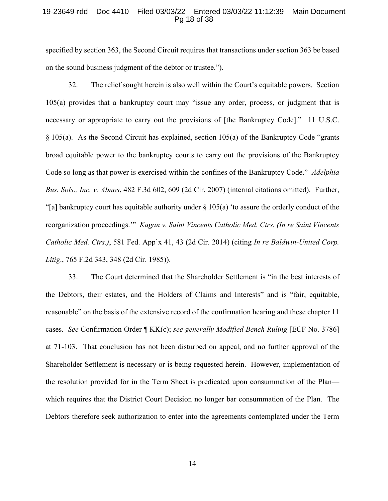# 19-23649-rdd Doc 4410 Filed 03/03/22 Entered 03/03/22 11:12:39 Main Document Pg 18 of 38

specified by section 363, the Second Circuit requires that transactions under section 363 be based on the sound business judgment of the debtor or trustee.").

32. The relief sought herein is also well within the Court's equitable powers. Section 105(a) provides that a bankruptcy court may "issue any order, process, or judgment that is necessary or appropriate to carry out the provisions of [the Bankruptcy Code]." 11 U.S.C. § 105(a). As the Second Circuit has explained, section 105(a) of the Bankruptcy Code "grants broad equitable power to the bankruptcy courts to carry out the provisions of the Bankruptcy Code so long as that power is exercised within the confines of the Bankruptcy Code." *Adelphia Bus. Sols., Inc. v. Abnos*, 482 F.3d 602, 609 (2d Cir. 2007) (internal citations omitted). Further, "[a] bankruptcy court has equitable authority under  $\S 105(a)$  'to assure the orderly conduct of the reorganization proceedings.'" *Kagan v. Saint Vincents Catholic Med. Ctrs. (In re Saint Vincents Catholic Med. Ctrs.)*, 581 Fed. App'x 41, 43 (2d Cir. 2014) (citing *In re Baldwin-United Corp. Litig*., 765 F.2d 343, 348 (2d Cir. 1985)).

33. The Court determined that the Shareholder Settlement is "in the best interests of the Debtors, their estates, and the Holders of Claims and Interests" and is "fair, equitable, reasonable" on the basis of the extensive record of the confirmation hearing and these chapter 11 cases. *See* Confirmation Order ¶ KK(c); *see generally Modified Bench Ruling* [ECF No. 3786] at 71-103. That conclusion has not been disturbed on appeal, and no further approval of the Shareholder Settlement is necessary or is being requested herein. However, implementation of the resolution provided for in the Term Sheet is predicated upon consummation of the Plan which requires that the District Court Decision no longer bar consummation of the Plan. The Debtors therefore seek authorization to enter into the agreements contemplated under the Term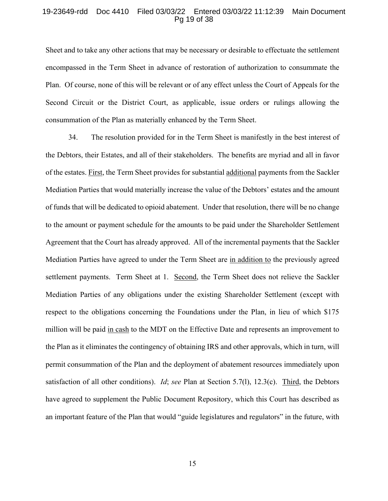# 19-23649-rdd Doc 4410 Filed 03/03/22 Entered 03/03/22 11:12:39 Main Document Pg 19 of 38

Sheet and to take any other actions that may be necessary or desirable to effectuate the settlement encompassed in the Term Sheet in advance of restoration of authorization to consummate the Plan. Of course, none of this will be relevant or of any effect unless the Court of Appeals for the Second Circuit or the District Court, as applicable, issue orders or rulings allowing the consummation of the Plan as materially enhanced by the Term Sheet.

34. The resolution provided for in the Term Sheet is manifestly in the best interest of the Debtors, their Estates, and all of their stakeholders. The benefits are myriad and all in favor of the estates. First, the Term Sheet provides for substantial additional payments from the Sackler Mediation Parties that would materially increase the value of the Debtors' estates and the amount of funds that will be dedicated to opioid abatement. Under that resolution, there will be no change to the amount or payment schedule for the amounts to be paid under the Shareholder Settlement Agreement that the Court has already approved. All of the incremental payments that the Sackler Mediation Parties have agreed to under the Term Sheet are in addition to the previously agreed settlement payments. Term Sheet at 1. Second, the Term Sheet does not relieve the Sackler Mediation Parties of any obligations under the existing Shareholder Settlement (except with respect to the obligations concerning the Foundations under the Plan, in lieu of which \$175 million will be paid in cash to the MDT on the Effective Date and represents an improvement to the Plan as it eliminates the contingency of obtaining IRS and other approvals, which in turn, will permit consummation of the Plan and the deployment of abatement resources immediately upon satisfaction of all other conditions). *Id*; *see* Plan at Section 5.7(l), 12.3(c). Third, the Debtors have agreed to supplement the Public Document Repository, which this Court has described as an important feature of the Plan that would "guide legislatures and regulators" in the future, with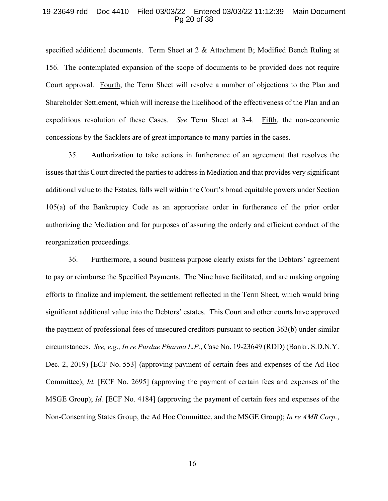#### 19-23649-rdd Doc 4410 Filed 03/03/22 Entered 03/03/22 11:12:39 Main Document Pg 20 of 38

specified additional documents. Term Sheet at 2 & Attachment B; Modified Bench Ruling at 156. The contemplated expansion of the scope of documents to be provided does not require Court approval. Fourth, the Term Sheet will resolve a number of objections to the Plan and Shareholder Settlement, which will increase the likelihood of the effectiveness of the Plan and an expeditious resolution of these Cases. *See* Term Sheet at 3-4. Fifth, the non-economic concessions by the Sacklers are of great importance to many parties in the cases.

35. Authorization to take actions in furtherance of an agreement that resolves the issues that this Court directed the parties to address in Mediation and that provides very significant additional value to the Estates, falls well within the Court's broad equitable powers under Section 105(a) of the Bankruptcy Code as an appropriate order in furtherance of the prior order authorizing the Mediation and for purposes of assuring the orderly and efficient conduct of the reorganization proceedings.

36. Furthermore, a sound business purpose clearly exists for the Debtors' agreement to pay or reimburse the Specified Payments. The Nine have facilitated, and are making ongoing efforts to finalize and implement, the settlement reflected in the Term Sheet, which would bring significant additional value into the Debtors' estates. This Court and other courts have approved the payment of professional fees of unsecured creditors pursuant to section 363(b) under similar circumstances. *See, e.g., In re Purdue Pharma L.P.*, Case No. 19-23649 (RDD) (Bankr. S.D.N.Y. Dec. 2, 2019) [ECF No. 553] (approving payment of certain fees and expenses of the Ad Hoc Committee); *Id.* [ECF No. 2695] (approving the payment of certain fees and expenses of the MSGE Group); *Id.* [ECF No. 4184] (approving the payment of certain fees and expenses of the Non-Consenting States Group, the Ad Hoc Committee, and the MSGE Group); *In re AMR Corp.*,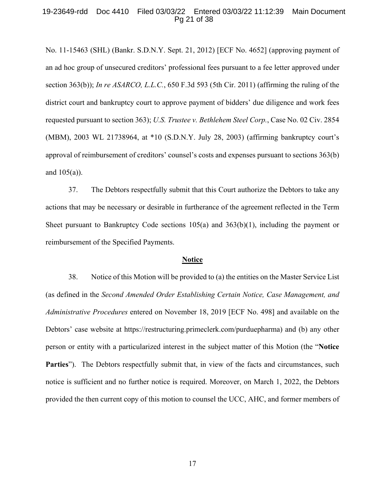# 19-23649-rdd Doc 4410 Filed 03/03/22 Entered 03/03/22 11:12:39 Main Document Pg 21 of 38

No. 11-15463 (SHL) (Bankr. S.D.N.Y. Sept. 21, 2012) [ECF No. 4652] (approving payment of an ad hoc group of unsecured creditors' professional fees pursuant to a fee letter approved under section 363(b)); *In re ASARCO, L.L.C.*, 650 F.3d 593 (5th Cir. 2011) (affirming the ruling of the district court and bankruptcy court to approve payment of bidders' due diligence and work fees requested pursuant to section 363); *U.S. Trustee v. Bethlehem Steel Corp.*, Case No. 02 Civ. 2854 (MBM), 2003 WL 21738964, at \*10 (S.D.N.Y. July 28, 2003) (affirming bankruptcy court's approval of reimbursement of creditors' counsel's costs and expenses pursuant to sections 363(b) and 105(a)).

37. The Debtors respectfully submit that this Court authorize the Debtors to take any actions that may be necessary or desirable in furtherance of the agreement reflected in the Term Sheet pursuant to Bankruptcy Code sections 105(a) and 363(b)(1), including the payment or reimbursement of the Specified Payments.

#### **Notice**

38. Notice of this Motion will be provided to (a) the entities on the Master Service List (as defined in the *Second Amended Order Establishing Certain Notice, Case Management, and Administrative Procedures* entered on November 18, 2019 [ECF No. 498] and available on the Debtors' case website at https://restructuring.primeclerk.com/purduepharma) and (b) any other person or entity with a particularized interest in the subject matter of this Motion (the "**Notice Parties**"). The Debtors respectfully submit that, in view of the facts and circumstances, such notice is sufficient and no further notice is required. Moreover, on March 1, 2022, the Debtors provided the then current copy of this motion to counsel the UCC, AHC, and former members of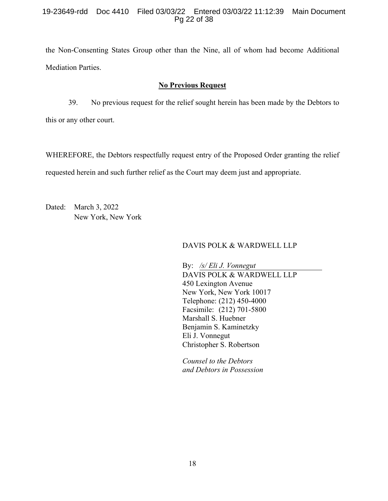# 19-23649-rdd Doc 4410 Filed 03/03/22 Entered 03/03/22 11:12:39 Main Document Pg 22 of 38

the Non-Consenting States Group other than the Nine, all of whom had become Additional Mediation Parties.

# **No Previous Request**

39. No previous request for the relief sought herein has been made by the Debtors to this or any other court.

WHEREFORE, the Debtors respectfully request entry of the Proposed Order granting the relief requested herein and such further relief as the Court may deem just and appropriate.

Dated: March 3, 2022 New York, New York

# DAVIS POLK & WARDWELL LLP

By: */s/ Eli J. Vonnegut*  DAVIS POLK & WARDWELL LLP 450 Lexington Avenue New York, New York 10017 Telephone: (212) 450-4000 Facsimile: (212) 701-5800 Marshall S. Huebner Benjamin S. Kaminetzky Eli J. Vonnegut Christopher S. Robertson

*Counsel to the Debtors and Debtors in Possession*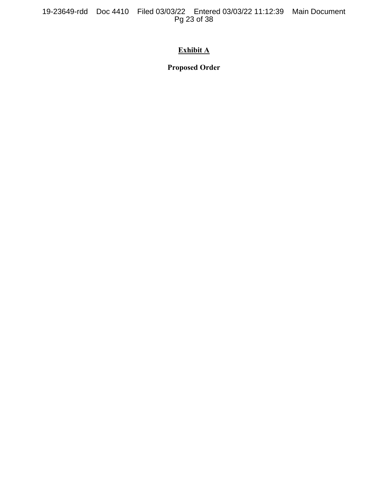19-23649-rdd Doc 4410 Filed 03/03/22 Entered 03/03/22 11:12:39 Main Document Pg 23 of 38

# **Exhibit A**

**Proposed Order**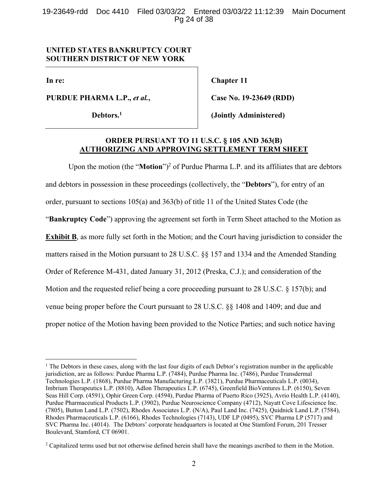19-23649-rdd Doc 4410 Filed 03/03/22 Entered 03/03/22 11:12:39 Main Document Pg 24 of 38

# **UNITED STATES BANKRUPTCY COURT SOUTHERN DISTRICT OF NEW YORK**

**In re:** 

 $\overline{a}$ 

**PURDUE PHARMA L.P.,** *et al.***,** 

**Debtors.1**

**Chapter 11** 

**Case No. 19-23649 (RDD)** 

**(Jointly Administered)** 

# **ORDER PURSUANT TO 11 U.S.C. § 105 AND 363(B) AUTHORIZING AND APPROVING SETTLEMENT TERM SHEET**

Upon the motion (the "**Motion**")<sup>2</sup> of Purdue Pharma L.P. and its affiliates that are debtors and debtors in possession in these proceedings (collectively, the "**Debtors**"), for entry of an order, pursuant to sections 105(a) and 363(b) of title 11 of the United States Code (the "**Bankruptcy Code**") approving the agreement set forth in Term Sheet attached to the Motion as **Exhibit B**, as more fully set forth in the Motion; and the Court having jurisdiction to consider the matters raised in the Motion pursuant to 28 U.S.C. §§ 157 and 1334 and the Amended Standing Order of Reference M-431, dated January 31, 2012 (Preska, C.J.); and consideration of the Motion and the requested relief being a core proceeding pursuant to 28 U.S.C. § 157(b); and venue being proper before the Court pursuant to 28 U.S.C. §§ 1408 and 1409; and due and proper notice of the Motion having been provided to the Notice Parties; and such notice having

<sup>&</sup>lt;sup>1</sup> The Debtors in these cases, along with the last four digits of each Debtor's registration number in the applicable jurisdiction, are as follows: Purdue Pharma L.P. (7484), Purdue Pharma Inc. (7486), Purdue Transdermal Technologies L.P. (1868), Purdue Pharma Manufacturing L.P. (3821), Purdue Pharmaceuticals L.P. (0034), Imbrium Therapeutics L.P. (8810), Adlon Therapeutics L.P. (6745), Greenfield BioVentures L.P. (6150), Seven Seas Hill Corp. (4591), Ophir Green Corp. (4594), Purdue Pharma of Puerto Rico (3925), Avrio Health L.P. (4140), Purdue Pharmaceutical Products L.P. (3902), Purdue Neuroscience Company (4712), Nayatt Cove Lifescience Inc. (7805), Button Land L.P. (7502), Rhodes Associates L.P. (N/A), Paul Land Inc. (7425), Quidnick Land L.P. (7584), Rhodes Pharmaceuticals L.P. (6166), Rhodes Technologies (7143), UDF LP (0495), SVC Pharma LP (5717) and SVC Pharma Inc. (4014). The Debtors' corporate headquarters is located at One Stamford Forum, 201 Tresser Boulevard, Stamford, CT 06901.

<sup>&</sup>lt;sup>2</sup> Capitalized terms used but not otherwise defined herein shall have the meanings ascribed to them in the Motion.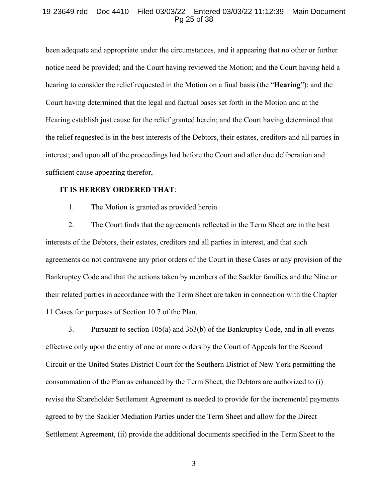### 19-23649-rdd Doc 4410 Filed 03/03/22 Entered 03/03/22 11:12:39 Main Document Pg 25 of 38

been adequate and appropriate under the circumstances, and it appearing that no other or further notice need be provided; and the Court having reviewed the Motion; and the Court having held a hearing to consider the relief requested in the Motion on a final basis (the "**Hearing**"); and the Court having determined that the legal and factual bases set forth in the Motion and at the Hearing establish just cause for the relief granted herein; and the Court having determined that the relief requested is in the best interests of the Debtors, their estates, creditors and all parties in interest; and upon all of the proceedings had before the Court and after due deliberation and sufficient cause appearing therefor,

### **IT IS HEREBY ORDERED THAT**:

1. The Motion is granted as provided herein.

2. The Court finds that the agreements reflected in the Term Sheet are in the best interests of the Debtors, their estates, creditors and all parties in interest, and that such agreements do not contravene any prior orders of the Court in these Cases or any provision of the Bankruptcy Code and that the actions taken by members of the Sackler families and the Nine or their related parties in accordance with the Term Sheet are taken in connection with the Chapter 11 Cases for purposes of Section 10.7 of the Plan.

3. Pursuant to section 105(a) and 363(b) of the Bankruptcy Code, and in all events effective only upon the entry of one or more orders by the Court of Appeals for the Second Circuit or the United States District Court for the Southern District of New York permitting the consummation of the Plan as enhanced by the Term Sheet, the Debtors are authorized to (i) revise the Shareholder Settlement Agreement as needed to provide for the incremental payments agreed to by the Sackler Mediation Parties under the Term Sheet and allow for the Direct Settlement Agreement, (ii) provide the additional documents specified in the Term Sheet to the

3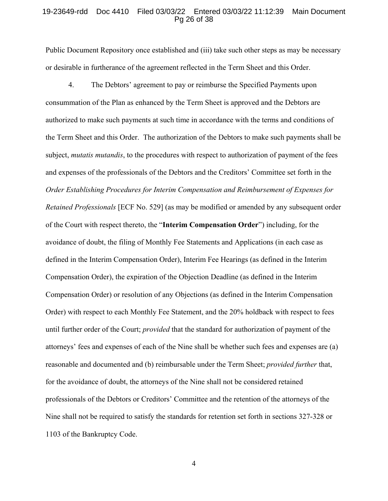### 19-23649-rdd Doc 4410 Filed 03/03/22 Entered 03/03/22 11:12:39 Main Document Pg 26 of 38

Public Document Repository once established and (iii) take such other steps as may be necessary or desirable in furtherance of the agreement reflected in the Term Sheet and this Order.

4. The Debtors' agreement to pay or reimburse the Specified Payments upon consummation of the Plan as enhanced by the Term Sheet is approved and the Debtors are authorized to make such payments at such time in accordance with the terms and conditions of the Term Sheet and this Order.The authorization of the Debtors to make such payments shall be subject, *mutatis mutandis*, to the procedures with respect to authorization of payment of the fees and expenses of the professionals of the Debtors and the Creditors' Committee set forth in the *Order Establishing Procedures for Interim Compensation and Reimbursement of Expenses for Retained Professionals* [ECF No. 529] (as may be modified or amended by any subsequent order of the Court with respect thereto, the "**Interim Compensation Order**") including, for the avoidance of doubt, the filing of Monthly Fee Statements and Applications (in each case as defined in the Interim Compensation Order), Interim Fee Hearings (as defined in the Interim Compensation Order), the expiration of the Objection Deadline (as defined in the Interim Compensation Order) or resolution of any Objections (as defined in the Interim Compensation Order) with respect to each Monthly Fee Statement, and the 20% holdback with respect to fees until further order of the Court; *provided* that the standard for authorization of payment of the attorneys' fees and expenses of each of the Nine shall be whether such fees and expenses are (a) reasonable and documented and (b) reimbursable under the Term Sheet; *provided further* that, for the avoidance of doubt, the attorneys of the Nine shall not be considered retained professionals of the Debtors or Creditors' Committee and the retention of the attorneys of the Nine shall not be required to satisfy the standards for retention set forth in sections 327-328 or 1103 of the Bankruptcy Code.

4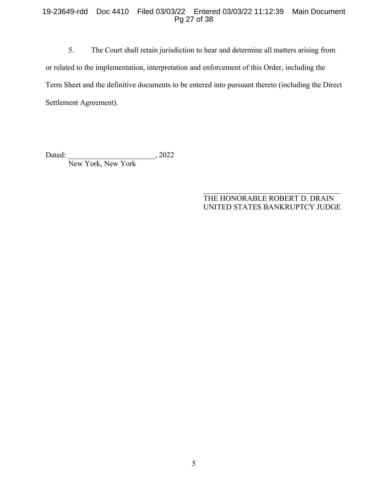# 19-23649-rdd Doc 4410 Filed 03/03/22 Entered 03/03/22 11:12:39 Main Document Pg 27 of 38

5. The Court shall retain jurisdiction to hear and determine all matters arising from or related to the implementation, interpretation and enforcement of this Order, including the Term Sheet and the definitive documents to be entered into pursuant thereto (including the Direct Settlement Agreement).

Dated: 1. 2022 New York, New York

# THE HONORABLE ROBERT D. DRAIN UNITED STATES BANKRUPTCY JUDGE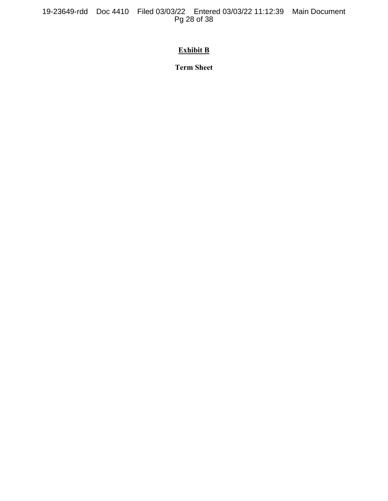19-23649-rdd Doc 4410 Filed 03/03/22 Entered 03/03/22 11:12:39 Main Document Pg 28 of 38

# **Exhibit B**

**Term Sheet**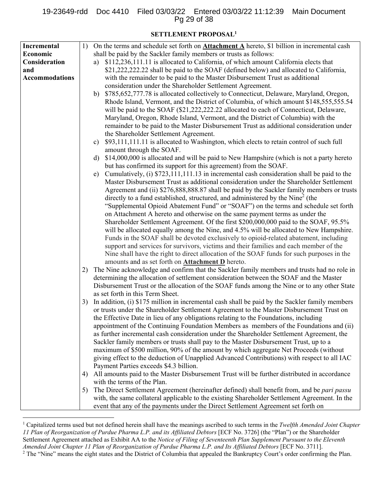# 19-23649-rdd Doc 4410 Filed 03/03/22 Entered 03/03/22 11:12:39 Main Document Pg 29 of 38

# **SETTLEMENT PROPOSAL1**

| Incremental           | 1) | On the terms and schedule set forth on <b>Attachment A</b> hereto, \$1 billion in incremental cash       |  |  |  |  |  |  |  |  |
|-----------------------|----|----------------------------------------------------------------------------------------------------------|--|--|--|--|--|--|--|--|
| Economic              |    | shall be paid by the Sackler family members or trusts as follows:                                        |  |  |  |  |  |  |  |  |
| Consideration         |    | \$112,236,111.11 is allocated to California, of which amount California elects that<br>a)                |  |  |  |  |  |  |  |  |
| and                   |    | \$21,222,222.22 shall be paid to the SOAF (defined below) and allocated to California,                   |  |  |  |  |  |  |  |  |
| <b>Accommodations</b> |    | with the remainder to be paid to the Master Disbursement Trust as additional                             |  |  |  |  |  |  |  |  |
|                       |    | consideration under the Shareholder Settlement Agreement.                                                |  |  |  |  |  |  |  |  |
|                       |    | \$785,652,777.78 is allocated collectively to Connecticut, Delaware, Maryland, Oregon,<br>b)             |  |  |  |  |  |  |  |  |
|                       |    | Rhode Island, Vermont, and the District of Columbia, of which amount \$148,555,555.54                    |  |  |  |  |  |  |  |  |
|                       |    | will be paid to the SOAF (\$21,222,222.22 allocated to each of Connecticut, Delaware,                    |  |  |  |  |  |  |  |  |
|                       |    | Maryland, Oregon, Rhode Island, Vermont, and the District of Columbia) with the                          |  |  |  |  |  |  |  |  |
|                       |    | remainder to be paid to the Master Disbursement Trust as additional consideration under                  |  |  |  |  |  |  |  |  |
|                       |    | the Shareholder Settlement Agreement.                                                                    |  |  |  |  |  |  |  |  |
|                       |    | \$93,111,111.11 is allocated to Washington, which elects to retain control of such full<br>$\mathbf{c})$ |  |  |  |  |  |  |  |  |
|                       |    | amount through the SOAF.                                                                                 |  |  |  |  |  |  |  |  |
|                       |    | \$14,000,000 is allocated and will be paid to New Hampshire (which is not a party hereto<br>d)           |  |  |  |  |  |  |  |  |
|                       |    | but has confirmed its support for this agreement) from the SOAF.                                         |  |  |  |  |  |  |  |  |
|                       |    | Cumulatively, (i) \$723,111,111.13 in incremental cash consideration shall be paid to the<br>e)          |  |  |  |  |  |  |  |  |
|                       |    | Master Disbursement Trust as additional consideration under the Shareholder Settlement                   |  |  |  |  |  |  |  |  |
|                       |    | Agreement and (ii) \$276,888,888.87 shall be paid by the Sackler family members or trusts                |  |  |  |  |  |  |  |  |
|                       |    | directly to a fund established, structured, and administered by the Nine <sup>2</sup> (the               |  |  |  |  |  |  |  |  |
|                       |    | "Supplemental Opioid Abatement Fund" or "SOAF") on the terms and schedule set forth                      |  |  |  |  |  |  |  |  |
|                       |    | on Attachment A hereto and otherwise on the same payment terms as under the                              |  |  |  |  |  |  |  |  |
|                       |    | Shareholder Settlement Agreement. Of the first \$200,000,000 paid to the SOAF, 95.5%                     |  |  |  |  |  |  |  |  |
|                       |    | will be allocated equally among the Nine, and 4.5% will be allocated to New Hampshire.                   |  |  |  |  |  |  |  |  |
|                       |    | Funds in the SOAF shall be devoted exclusively to opioid-related abatement, including                    |  |  |  |  |  |  |  |  |
|                       |    | support and services for survivors, victims and their families and each member of the                    |  |  |  |  |  |  |  |  |
|                       |    | Nine shall have the right to direct allocation of the SOAF funds for such purposes in the                |  |  |  |  |  |  |  |  |
|                       |    | amounts and as set forth on <b>Attachment D</b> hereto.                                                  |  |  |  |  |  |  |  |  |
|                       | 2) | The Nine acknowledge and confirm that the Sackler family members and trusts had no role in               |  |  |  |  |  |  |  |  |
|                       |    | determining the allocation of settlement consideration between the SOAF and the Master                   |  |  |  |  |  |  |  |  |
|                       |    | Disbursement Trust or the allocation of the SOAF funds among the Nine or to any other State              |  |  |  |  |  |  |  |  |
|                       |    | as set forth in this Term Sheet.                                                                         |  |  |  |  |  |  |  |  |
|                       | 3) | In addition, (i) \$175 million in incremental cash shall be paid by the Sackler family members           |  |  |  |  |  |  |  |  |
|                       |    | or trusts under the Shareholder Settlement Agreement to the Master Disbursement Trust on                 |  |  |  |  |  |  |  |  |
|                       |    | the Effective Date in lieu of any obligations relating to the Foundations, including                     |  |  |  |  |  |  |  |  |
|                       |    | appointment of the Continuing Foundation Members as members of the Foundations and (ii)                  |  |  |  |  |  |  |  |  |
|                       |    | as further incremental cash consideration under the Shareholder Settlement Agreement, the                |  |  |  |  |  |  |  |  |
|                       |    | Sackler family members or trusts shall pay to the Master Disbursement Trust, up to a                     |  |  |  |  |  |  |  |  |
|                       |    | maximum of \$500 million, 90% of the amount by which aggregate Net Proceeds (without                     |  |  |  |  |  |  |  |  |
|                       |    | giving effect to the deduction of Unapplied Advanced Contributions) with respect to all IAC              |  |  |  |  |  |  |  |  |
|                       |    | Payment Parties exceeds \$4.3 billion.                                                                   |  |  |  |  |  |  |  |  |
|                       | 4) | All amounts paid to the Master Disbursement Trust will be further distributed in accordance              |  |  |  |  |  |  |  |  |
|                       |    | with the terms of the Plan.                                                                              |  |  |  |  |  |  |  |  |
|                       | 5) | The Direct Settlement Agreement (hereinafter defined) shall benefit from, and be <i>pari passu</i>       |  |  |  |  |  |  |  |  |
|                       |    | with, the same collateral applicable to the existing Shareholder Settlement Agreement. In the            |  |  |  |  |  |  |  |  |
|                       |    | event that any of the payments under the Direct Settlement Agreement set forth on                        |  |  |  |  |  |  |  |  |

<sup>&</sup>lt;sup>1</sup> Capitalized terms used but not defined herein shall have the meanings ascribed to such terms in the *Twelfth Amended Joint Chapter 11 Plan of Reorganization of Purdue Pharma L.P. and its Affiliated Debtors* [ECF No. 3726] (the "Plan") or the Shareholder Settlement Agreement attached as Exhibit AA to the *Notice of Filing of Seventeenth Plan Supplement Pursuant to the Eleventh Amended Joint Chapter 11 Plan of Reorganization of Purdue Pharma L.P. and Its Affiliated Debtors* [ECF No. 3711]. 2 <sup>2</sup> The "Nine" means the eight states and the District of Columbia that appealed the Bankruptcy Court's order confirming the Plan.

 $\overline{a}$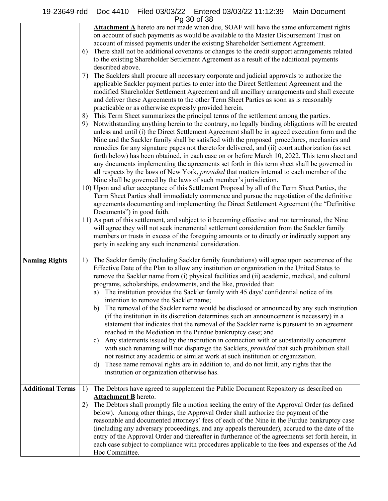|                         | Attachment A hereto are not made when due, SOAF will have the same enforcement rights<br>on account of such payments as would be available to the Master Disbursement Trust on<br>account of missed payments under the existing Shareholder Settlement Agreement.<br>There shall not be additional covenants or changes to the credit support arrangements related<br>6)<br>to the existing Shareholder Settlement Agreement as a result of the additional payments<br>described above.<br>7) The Sacklers shall procure all necessary corporate and judicial approvals to authorize the<br>applicable Sackler payment parties to enter into the Direct Settlement Agreement and the<br>modified Shareholder Settlement Agreement and all ancillary arrangements and shall execute<br>and deliver these Agreements to the other Term Sheet Parties as soon as is reasonably<br>practicable or as otherwise expressly provided herein.<br>8) This Term Sheet summarizes the principal terms of the settlement among the parties.<br>9) Notwithstanding anything herein to the contrary, no legally binding obligations will be created<br>unless and until (i) the Direct Settlement Agreement shall be in agreed execution form and the<br>Nine and the Sackler family shall be satisfied with the proposed procedures, mechanics and<br>remedies for any signature pages not theretofor delivered, and (ii) court authorization (as set<br>forth below) has been obtained, in each case on or before March 10, 2022. This term sheet and<br>any documents implementing the agreements set forth in this term sheet shall be governed in<br>all respects by the laws of New York, <i>provided</i> that matters internal to each member of the<br>Nine shall be governed by the laws of such member's jurisdiction.<br>10) Upon and after acceptance of this Settlement Proposal by all of the Term Sheet Parties, the<br>Term Sheet Parties shall immediately commence and pursue the negotiation of the definitive<br>agreements documenting and implementing the Direct Settlement Agreement (the "Definitive<br>Documents") in good faith.<br>11) As part of this settlement, and subject to it becoming effective and not terminated, the Nine<br>will agree they will not seek incremental settlement consideration from the Sackler family<br>members or trusts in excess of the foregoing amounts or to directly or indirectly support any<br>party in seeking any such incremental consideration. |
|-------------------------|-----------------------------------------------------------------------------------------------------------------------------------------------------------------------------------------------------------------------------------------------------------------------------------------------------------------------------------------------------------------------------------------------------------------------------------------------------------------------------------------------------------------------------------------------------------------------------------------------------------------------------------------------------------------------------------------------------------------------------------------------------------------------------------------------------------------------------------------------------------------------------------------------------------------------------------------------------------------------------------------------------------------------------------------------------------------------------------------------------------------------------------------------------------------------------------------------------------------------------------------------------------------------------------------------------------------------------------------------------------------------------------------------------------------------------------------------------------------------------------------------------------------------------------------------------------------------------------------------------------------------------------------------------------------------------------------------------------------------------------------------------------------------------------------------------------------------------------------------------------------------------------------------------------------------------------------------------------------------------------------------------------------------------------------------------------------------------------------------------------------------------------------------------------------------------------------------------------------------------------------------------------------------------------------------------------------------------------------------------------------------------------------------------------------------------------------------------------------------------------------------------------|
| <b>Naming Rights</b>    | The Sackler family (including Sackler family foundations) will agree upon occurrence of the<br>1)<br>Effective Date of the Plan to allow any institution or organization in the United States to<br>remove the Sackler name from (i) physical facilities and (ii) academic, medical, and cultural<br>programs, scholarships, endowments, and the like, provided that:<br>The institution provides the Sackler family with 45 days' confidential notice of its<br>a)<br>intention to remove the Sackler name;<br>The removal of the Sackler name would be disclosed or announced by any such institution<br>b)<br>(if the institution in its discretion determines such an announcement is necessary) in a<br>statement that indicates that the removal of the Sackler name is pursuant to an agreement<br>reached in the Mediation in the Purdue bankruptcy case; and<br>Any statements issued by the institution in connection with or substantially concurrent<br>c)<br>with such renaming will not disparage the Sacklers, <i>provided</i> that such prohibition shall<br>not restrict any academic or similar work at such institution or organization.<br>These name removal rights are in addition to, and do not limit, any rights that the<br>d)<br>institution or organization otherwise has.                                                                                                                                                                                                                                                                                                                                                                                                                                                                                                                                                                                                                                                                                                                                                                                                                                                                                                                                                                                                                                                                                                                                                                                                    |
| <b>Additional Terms</b> | The Debtors have agreed to supplement the Public Document Repository as described on<br>1)<br><b>Attachment B</b> hereto.<br>The Debtors shall promptly file a motion seeking the entry of the Approval Order (as defined<br>2)<br>below). Among other things, the Approval Order shall authorize the payment of the<br>reasonable and documented attorneys' fees of each of the Nine in the Purdue bankruptcy case<br>(including any adversary proceedings, and any appeals thereunder), accrued to the date of the<br>entry of the Approval Order and thereafter in furtherance of the agreements set forth herein, in<br>each case subject to compliance with procedures applicable to the fees and expenses of the Ad<br>Hoc Committee.                                                                                                                                                                                                                                                                                                                                                                                                                                                                                                                                                                                                                                                                                                                                                                                                                                                                                                                                                                                                                                                                                                                                                                                                                                                                                                                                                                                                                                                                                                                                                                                                                                                                                                                                                               |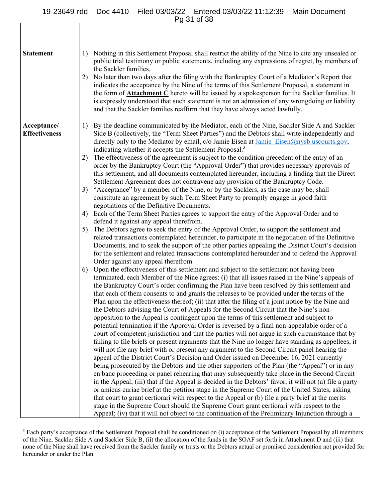# 19-23649-rdd Doc 4410 Filed 03/03/22 Entered 03/03/22 11:12:39 Main Document

Pg 31 of 38

Г

| <b>Statement</b><br>1)<br>the Sackler families.<br>2)<br>indicates the acceptance by the Nine of the terms of this Settlement Proposal, a statement in<br>and that the Sackler families reaffirm that they have always acted lawfully.<br>Acceptance/<br>1)<br><b>Effectiveness</b><br>directly only to the Mediator by email, c/o Jamie Eisen at Jamie Eisen@nysb.uscourts.gov,<br>indicating whether it accepts the Settlement Proposal. <sup>3</sup><br>The effectiveness of the agreement is subject to the condition precedent of the entry of an<br>2)<br>order by the Bankruptcy Court (the "Approval Order") that provides necessary approvals of<br>Settlement Agreement does not contravene any provision of the Bankruptcy Code.                                                                                                                                                                                                                                                                                                                                                                                                                                                                                                                                                                                                                                                                                                                                                                                                                                                                                                                                                           |                                                                                                                                                                                                                                                                                                                                                                                                                                                                                                                                                                                                                                                                                                                                                                                                                                                                                                                                                                                                                                                                                                                                                                                                                                                                                                                                   |
|-------------------------------------------------------------------------------------------------------------------------------------------------------------------------------------------------------------------------------------------------------------------------------------------------------------------------------------------------------------------------------------------------------------------------------------------------------------------------------------------------------------------------------------------------------------------------------------------------------------------------------------------------------------------------------------------------------------------------------------------------------------------------------------------------------------------------------------------------------------------------------------------------------------------------------------------------------------------------------------------------------------------------------------------------------------------------------------------------------------------------------------------------------------------------------------------------------------------------------------------------------------------------------------------------------------------------------------------------------------------------------------------------------------------------------------------------------------------------------------------------------------------------------------------------------------------------------------------------------------------------------------------------------------------------------------------------------|-----------------------------------------------------------------------------------------------------------------------------------------------------------------------------------------------------------------------------------------------------------------------------------------------------------------------------------------------------------------------------------------------------------------------------------------------------------------------------------------------------------------------------------------------------------------------------------------------------------------------------------------------------------------------------------------------------------------------------------------------------------------------------------------------------------------------------------------------------------------------------------------------------------------------------------------------------------------------------------------------------------------------------------------------------------------------------------------------------------------------------------------------------------------------------------------------------------------------------------------------------------------------------------------------------------------------------------|
|                                                                                                                                                                                                                                                                                                                                                                                                                                                                                                                                                                                                                                                                                                                                                                                                                                                                                                                                                                                                                                                                                                                                                                                                                                                                                                                                                                                                                                                                                                                                                                                                                                                                                                       | Nothing in this Settlement Proposal shall restrict the ability of the Nine to cite any unsealed or<br>public trial testimony or public statements, including any expressions of regret, by members of<br>No later than two days after the filing with the Bankruptcy Court of a Mediator's Report that<br>the form of <b>Attachment C</b> hereto will be issued by a spokesperson for the Sackler families. It<br>is expressly understood that such statement is not an admission of any wrongdoing or liability                                                                                                                                                                                                                                                                                                                                                                                                                                                                                                                                                                                                                                                                                                                                                                                                                  |
| "Acceptance" by a member of the Nine, or by the Sacklers, as the case may be, shall<br>3)<br>constitute an agreement by such Term Sheet Party to promptly engage in good faith<br>negotiations of the Definitive Documents.<br>Each of the Term Sheet Parties agrees to support the entry of the Approval Order and to<br>4)<br>defend it against any appeal therefrom.<br>The Debtors agree to seek the entry of the Approval Order, to support the settlement and<br>5)<br>Order against any appeal therefrom.<br>Upon the effectiveness of this settlement and subject to the settlement not having been<br>6)<br>the Bankruptcy Court's order confirming the Plan have been resolved by this settlement and<br>that each of them consents to and grants the releases to be provided under the terms of the<br>Plan upon the effectiveness thereof; (ii) that after the filing of a joint notice by the Nine and<br>the Debtors advising the Court of Appeals for the Second Circuit that the Nine's non-<br>opposition to the Appeal is contingent upon the terms of this settlement and subject to<br>potential termination if the Approval Order is reversed by a final non-appealable order of a<br>will not file any brief with or present any argument to the Second Circuit panel hearing the<br>appeal of the District Court's Decision and Order issued on December 16, 2021 currently<br>or amicus curiae brief at the petition stage in the Supreme Court of the United States, asking<br>that court to grant certiorari with respect to the Appeal or (b) file a party brief at the merits<br>stage in the Supreme Court should the Supreme Court grant certiorari with respect to the | By the deadline communicated by the Mediator, each of the Nine, Sackler Side A and Sackler<br>Side B (collectively, the "Term Sheet Parties") and the Debtors shall write independently and<br>this settlement, and all documents contemplated hereunder, including a finding that the Direct<br>related transactions contemplated hereunder, to participate in the negotiation of the Definitive<br>Documents, and to seek the support of the other parties appealing the District Court's decision<br>for the settlement and related transactions contemplated hereunder and to defend the Approval<br>terminated, each Member of the Nine agrees: (i) that all issues raised in the Nine's appeals of<br>court of competent jurisdiction and that the parties will not argue in such circumstance that by<br>failing to file briefs or present arguments that the Nine no longer have standing as appellees, it<br>being prosecuted by the Debtors and the other supporters of the Plan (the "Appeal") or in any<br>en banc proceeding or panel rehearing that may subsequently take place in the Second Circuit<br>in the Appeal; (iii) that if the Appeal is decided in the Debtors' favor, it will not (a) file a party<br>Appeal; (iv) that it will not object to the continuation of the Preliminary Injunction through a |

 $3$  Each party's acceptance of the Settlement Proposal shall be conditioned on (i) acceptance of the Settlement Proposal by all members of the Nine, Sackler Side A and Sackler Side B, (ii) the allocation of the funds in the SOAF set forth in Attachment D and (iii) that none of the Nine shall have received from the Sackler family or trusts or the Debtors actual or promised consideration not provided for hereunder or under the Plan.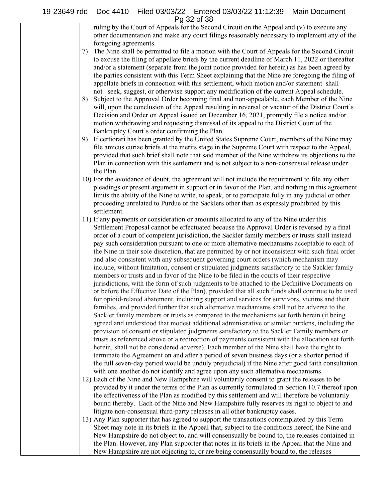#### 19-23649-rdd Doc 4410 Filed 03/03/22 Entered 03/03/22 11:12:39 Main Document Pg 32 of 38

ruling by the Court of Appeals for the Second Circuit on the Appeal and (v) to execute any other documentation and make any court filings reasonably necessary to implement any of the foregoing agreements.

- 7) The Nine shall be permitted to file a motion with the Court of Appeals for the Second Circuit to excuse the filing of appellate briefs by the current deadline of March 11, 2022 or thereafter and/or a statement (separate from the joint notice provided for herein) as has been agreed by the parties consistent with this Term Sheet explaining that the Nine are foregoing the filing of appellate briefs in connection with this settlement, which motion and/or statement shall not seek, suggest, or otherwise support any modification of the current Appeal schedule.
- 8) Subject to the Approval Order becoming final and non-appealable, each Member of the Nine will, upon the conclusion of the Appeal resulting in reversal or vacatur of the District Court's Decision and Order on Appeal issued on December 16, 2021, promptly file a notice and/or motion withdrawing and requesting dismissal of its appeal to the District Court of the Bankruptcy Court's order confirming the Plan.
- 9) If certiorari has been granted by the United States Supreme Court, members of the Nine may file amicus curiae briefs at the merits stage in the Supreme Court with respect to the Appeal, provided that such brief shall note that said member of the Nine withdrew its objections to the Plan in connection with this settlement and is not subject to a non-consensual release under the Plan.
- 10) For the avoidance of doubt, the agreement will not include the requirement to file any other pleadings or present argument in support or in favor of the Plan, and nothing in this agreement limits the ability of the Nine to write, to speak, or to participate fully in any judicial or other proceeding unrelated to Purdue or the Sacklers other than as expressly prohibited by this settlement.
- 11) If any payments or consideration or amounts allocated to any of the Nine under this Settlement Proposal cannot be effectuated because the Approval Order is reversed by a final order of a court of competent jurisdiction, the Sackler family members or trusts shall instead pay such consideration pursuant to one or more alternative mechanisms acceptable to each of the Nine in their sole discretion, that are permitted by or not inconsistent with such final order and also consistent with any subsequent governing court orders (which mechanism may include, without limitation, consent or stipulated judgments satisfactory to the Sackler family members or trusts and in favor of the Nine to be filed in the courts of their respective jurisdictions, with the form of such judgments to be attached to the Definitive Documents on or before the Effective Date of the Plan), provided that all such funds shall continue to be used for opioid-related abatement, including support and services for survivors, victims and their families, and provided further that such alternative mechanisms shall not be adverse to the Sackler family members or trusts as compared to the mechanisms set forth herein (it being agreed and understood that modest additional administrative or similar burdens, including the provision of consent or stipulated judgments satisfactory to the Sackler Family members or trusts as referenced above or a redirection of payments consistent with the allocation set forth herein, shall not be considered adverse). Each member of the Nine shall have the right to terminate the Agreement on and after a period of seven business days (or a shorter period if the full seven-day period would be unduly prejudicial) if the Nine after good faith consultation with one another do not identify and agree upon any such alternative mechanisms.
- 12) Each of the Nine and New Hampshire will voluntarily consent to grant the releases to be provided by it under the terms of the Plan as currently formulated in Section 10.7 thereof upon the effectiveness of the Plan as modified by this settlement and will therefore be voluntarily bound thereby. Each of the Nine and New Hampshire fully reserves its right to object to and litigate non-consensual third-party releases in all other bankruptcy cases.
- 13) Any Plan supporter that has agreed to support the transactions contemplated by this Term Sheet may note in its briefs in the Appeal that, subject to the conditions hereof, the Nine and New Hampshire do not object to, and will consensually be bound to, the releases contained in the Plan. However, any Plan supporter that notes in its briefs in the Appeal that the Nine and New Hampshire are not objecting to, or are being consensually bound to, the releases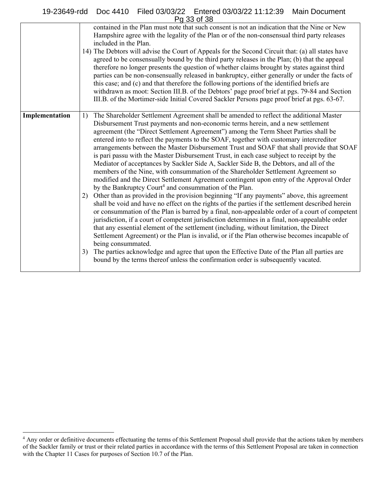# 19-23649-rdd Doc 4410 Filed 03/03/22 Entered 03/03/22 11:12:39 Main Document Pg 33 of 38

|                | , u vv vi vv                                                                                                                                                                                                                                                                                                                                                                                                                                                                                                                                                                                                                                                                                                                                                                                                                                                                                                                                                                                                                                                                                                                                                                                                                                                                                                                                                                                                                                                                                                                                                                                                                                                                                                                   |
|----------------|--------------------------------------------------------------------------------------------------------------------------------------------------------------------------------------------------------------------------------------------------------------------------------------------------------------------------------------------------------------------------------------------------------------------------------------------------------------------------------------------------------------------------------------------------------------------------------------------------------------------------------------------------------------------------------------------------------------------------------------------------------------------------------------------------------------------------------------------------------------------------------------------------------------------------------------------------------------------------------------------------------------------------------------------------------------------------------------------------------------------------------------------------------------------------------------------------------------------------------------------------------------------------------------------------------------------------------------------------------------------------------------------------------------------------------------------------------------------------------------------------------------------------------------------------------------------------------------------------------------------------------------------------------------------------------------------------------------------------------|
|                | contained in the Plan must note that such consent is not an indication that the Nine or New<br>Hampshire agree with the legality of the Plan or of the non-consensual third party releases<br>included in the Plan.<br>14) The Debtors will advise the Court of Appeals for the Second Circuit that: (a) all states have<br>agreed to be consensually bound by the third party releases in the Plan; (b) that the appeal<br>therefore no longer presents the question of whether claims brought by states against third<br>parties can be non-consensually released in bankruptcy, either generally or under the facts of<br>this case; and (c) and that therefore the following portions of the identified briefs are<br>withdrawn as moot: Section III.B. of the Debtors' page proof brief at pgs. 79-84 and Section<br>III.B. of the Mortimer-side Initial Covered Sackler Persons page proof brief at pgs. 63-67.                                                                                                                                                                                                                                                                                                                                                                                                                                                                                                                                                                                                                                                                                                                                                                                                          |
| Implementation | The Shareholder Settlement Agreement shall be amended to reflect the additional Master<br>1)<br>Disbursement Trust payments and non-economic terms herein, and a new settlement<br>agreement (the "Direct Settlement Agreement") among the Term Sheet Parties shall be<br>entered into to reflect the payments to the SOAF, together with customary intercreditor<br>arrangements between the Master Disbursement Trust and SOAF that shall provide that SOAF<br>is pari passu with the Master Disbursement Trust, in each case subject to receipt by the<br>Mediator of acceptances by Sackler Side A, Sackler Side B, the Debtors, and all of the<br>members of the Nine, with consummation of the Shareholder Settlement Agreement so<br>modified and the Direct Settlement Agreement contingent upon entry of the Approval Order<br>by the Bankruptcy Court <sup>4</sup> and consummation of the Plan.<br>Other than as provided in the provision beginning "If any payments" above, this agreement<br>2)<br>shall be void and have no effect on the rights of the parties if the settlement described herein<br>or consummation of the Plan is barred by a final, non-appealable order of a court of competent<br>jurisdiction, if a court of competent jurisdiction determines in a final, non-appealable order<br>that any essential element of the settlement (including, without limitation, the Direct<br>Settlement Agreement) or the Plan is invalid, or if the Plan otherwise becomes incapable of<br>being consummated.<br>The parties acknowledge and agree that upon the Effective Date of the Plan all parties are<br>3)<br>bound by the terms thereof unless the confirmation order is subsequently vacated. |

 $\overline{a}$ 

<sup>&</sup>lt;sup>4</sup> Any order or definitive documents effectuating the terms of this Settlement Proposal shall provide that the actions taken by members of the Sackler family or trust or their related parties in accordance with the terms of this Settlement Proposal are taken in connection with the Chapter 11 Cases for purposes of Section 10.7 of the Plan.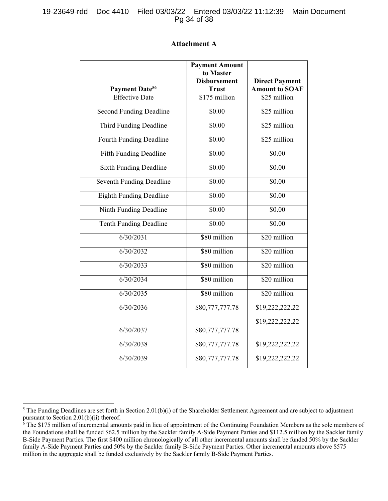| Payment Date <sup>56</sup> | <b>Payment Amount</b><br>to Master<br><b>Disbursement</b><br>Trust | <b>Direct Payment</b><br><b>Amount to SOAI</b> |
|----------------------------|--------------------------------------------------------------------|------------------------------------------------|
| <b>Effective Date</b>      | \$175 million                                                      | \$25 million                                   |
| nd Funding Deadline        | \$0.00                                                             | \$25 million                                   |
| rd Funding Deadline        | \$0.00                                                             | \$25 million                                   |
| th Funding Deadline        | \$0.00                                                             | \$25 million                                   |
| h Funding Deadline         | \$0.00                                                             | \$0.00                                         |

# **Attachment A**

| Payment Date <sup>56</sup>     | <b>Trust</b>    | <b>Amount to SOAF</b> |
|--------------------------------|-----------------|-----------------------|
| <b>Effective Date</b>          | \$175 million   | \$25 million          |
| <b>Second Funding Deadline</b> | \$0.00          | \$25 million          |
| Third Funding Deadline         | \$0.00          | \$25 million          |
| <b>Fourth Funding Deadline</b> | \$0.00          | \$25 million          |
| Fifth Funding Deadline         | \$0.00          | \$0.00                |
| <b>Sixth Funding Deadline</b>  | \$0.00          | \$0.00                |
| Seventh Funding Deadline       | \$0.00          | \$0.00                |
| <b>Eighth Funding Deadline</b> | \$0.00          | \$0.00                |
| Ninth Funding Deadline         | \$0.00          | \$0.00                |
| Tenth Funding Deadline         | \$0.00          | \$0.00                |
| 6/30/2031                      | \$80 million    | \$20 million          |
| 6/30/2032                      | \$80 million    | \$20 million          |
| 6/30/2033                      | \$80 million    | \$20 million          |
| 6/30/2034                      | \$80 million    | \$20 million          |
| 6/30/2035                      | \$80 million    | \$20 million          |
| 6/30/2036                      | \$80,777,777.78 | \$19,222,222.22       |
| 6/30/2037                      |                 | \$19,222,222.22       |
|                                | \$80,777,777.78 |                       |
| 6/30/2038                      | \$80,777,777.78 | \$19,222,222.22       |
| 6/30/2039                      | \$80,777,777.78 | \$19,222,222.22       |

 $\overline{a}$ <sup>5</sup> The Funding Deadlines are set forth in Section 2.01(b)(i) of the Shareholder Settlement Agreement and are subject to adjustment pursuant to Section 2.01(b)(ii) thereof.

<sup>&</sup>lt;sup>6</sup> The \$175 million of incremental amounts paid in lieu of appointment of the Continuing Foundation Members as the sole members of the Foundations shall be funded \$62.5 million by the Sackler family A-Side Payment Parties and \$112.5 million by the Sackler family B-Side Payment Parties. The first \$400 million chronologically of all other incremental amounts shall be funded 50% by the Sackler family A-Side Payment Parties and 50% by the Sackler family B-Side Payment Parties. Other incremental amounts above \$575 million in the aggregate shall be funded exclusively by the Sackler family B-Side Payment Parties.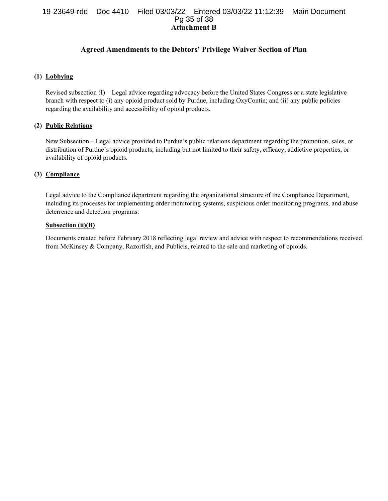# **Attachment B**  19-23649-rdd Doc 4410 Filed 03/03/22 Entered 03/03/22 11:12:39 Main Document Pg 35 of 38

# **Agreed Amendments to the Debtors' Privilege Waiver Section of Plan**

# **(1) Lobbying**

Revised subsection (I) – Legal advice regarding advocacy before the United States Congress or a state legislative branch with respect to (i) any opioid product sold by Purdue, including OxyContin; and (ii) any public policies regarding the availability and accessibility of opioid products.

# **(2) Public Relations**

New Subsection – Legal advice provided to Purdue's public relations department regarding the promotion, sales, or distribution of Purdue's opioid products, including but not limited to their safety, efficacy, addictive properties, or availability of opioid products.

# **(3) Compliance**

Legal advice to the Compliance department regarding the organizational structure of the Compliance Department, including its processes for implementing order monitoring systems, suspicious order monitoring programs, and abuse deterrence and detection programs.

#### **Subsection (ii)(B)**

Documents created before February 2018 reflecting legal review and advice with respect to recommendations received from McKinsey & Company, Razorfish, and Publicis, related to the sale and marketing of opioids.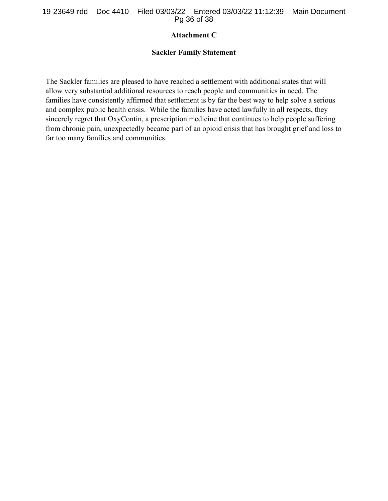# **Attachment C**

# **Sackler Family Statement**

The Sackler families are pleased to have reached a settlement with additional states that will allow very substantial additional resources to reach people and communities in need. The families have consistently affirmed that settlement is by far the best way to help solve a serious and complex public health crisis. While the families have acted lawfully in all respects, they sincerely regret that OxyContin, a prescription medicine that continues to help people suffering from chronic pain, unexpectedly became part of an opioid crisis that has brought grief and loss to far too many families and communities.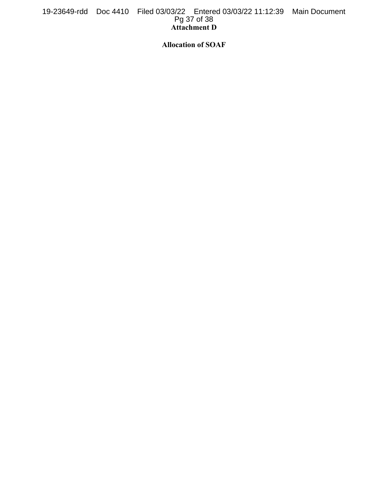# **Attachment D**  19-23649-rdd Doc 4410 Filed 03/03/22 Entered 03/03/22 11:12:39 Main Document Pg 37 of 38

**Allocation of SOAF**